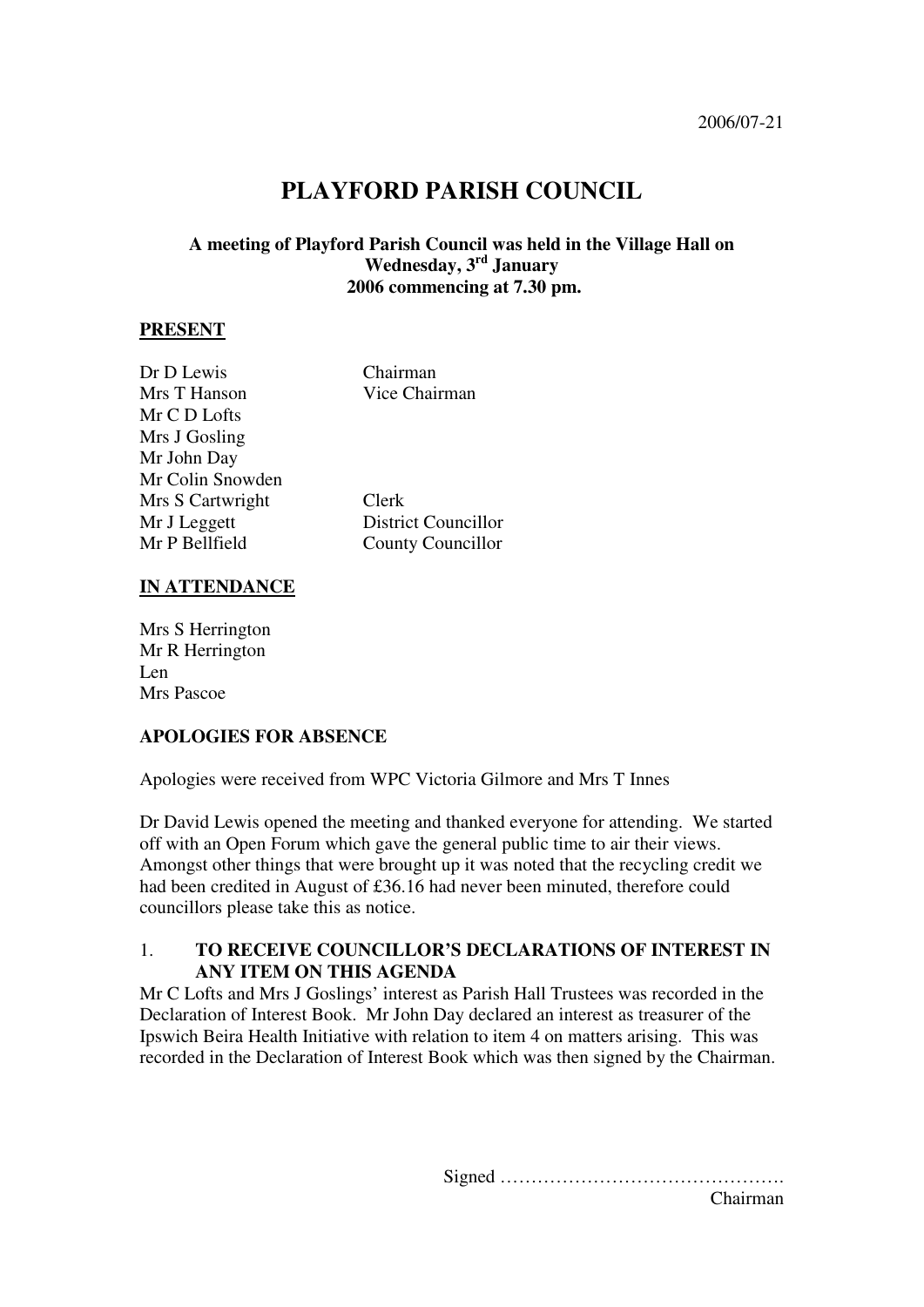# **PLAYFORD PARISH COUNCIL**

# **A meeting of Playford Parish Council was held in the Village Hall on Wednesday, 3rd January 2006 commencing at 7.30 pm.**

#### **PRESENT**

| Dr D Lewis       | Chairman                   |
|------------------|----------------------------|
| Mrs T Hanson     | Vice Chairman              |
| Mr C D Lofts     |                            |
| Mrs J Gosling    |                            |
| Mr John Day      |                            |
| Mr Colin Snowden |                            |
| Mrs S Cartwright | Clerk                      |
| Mr J Leggett     | <b>District Councillor</b> |
| Mr P Bellfield   | <b>County Councillor</b>   |
|                  |                            |

## **IN ATTENDANCE**

Mrs S Herrington Mr R Herrington Len Mrs Pascoe

#### **APOLOGIES FOR ABSENCE**

Apologies were received from WPC Victoria Gilmore and Mrs T Innes

Dr David Lewis opened the meeting and thanked everyone for attending. We started off with an Open Forum which gave the general public time to air their views. Amongst other things that were brought up it was noted that the recycling credit we had been credited in August of £36.16 had never been minuted, therefore could councillors please take this as notice.

# 1. **TO RECEIVE COUNCILLOR'S DECLARATIONS OF INTEREST IN ANY ITEM ON THIS AGENDA**

Mr C Lofts and Mrs J Goslings' interest as Parish Hall Trustees was recorded in the Declaration of Interest Book. Mr John Day declared an interest as treasurer of the Ipswich Beira Health Initiative with relation to item 4 on matters arising. This was recorded in the Declaration of Interest Book which was then signed by the Chairman.

> Signed ………………………………………. Chairman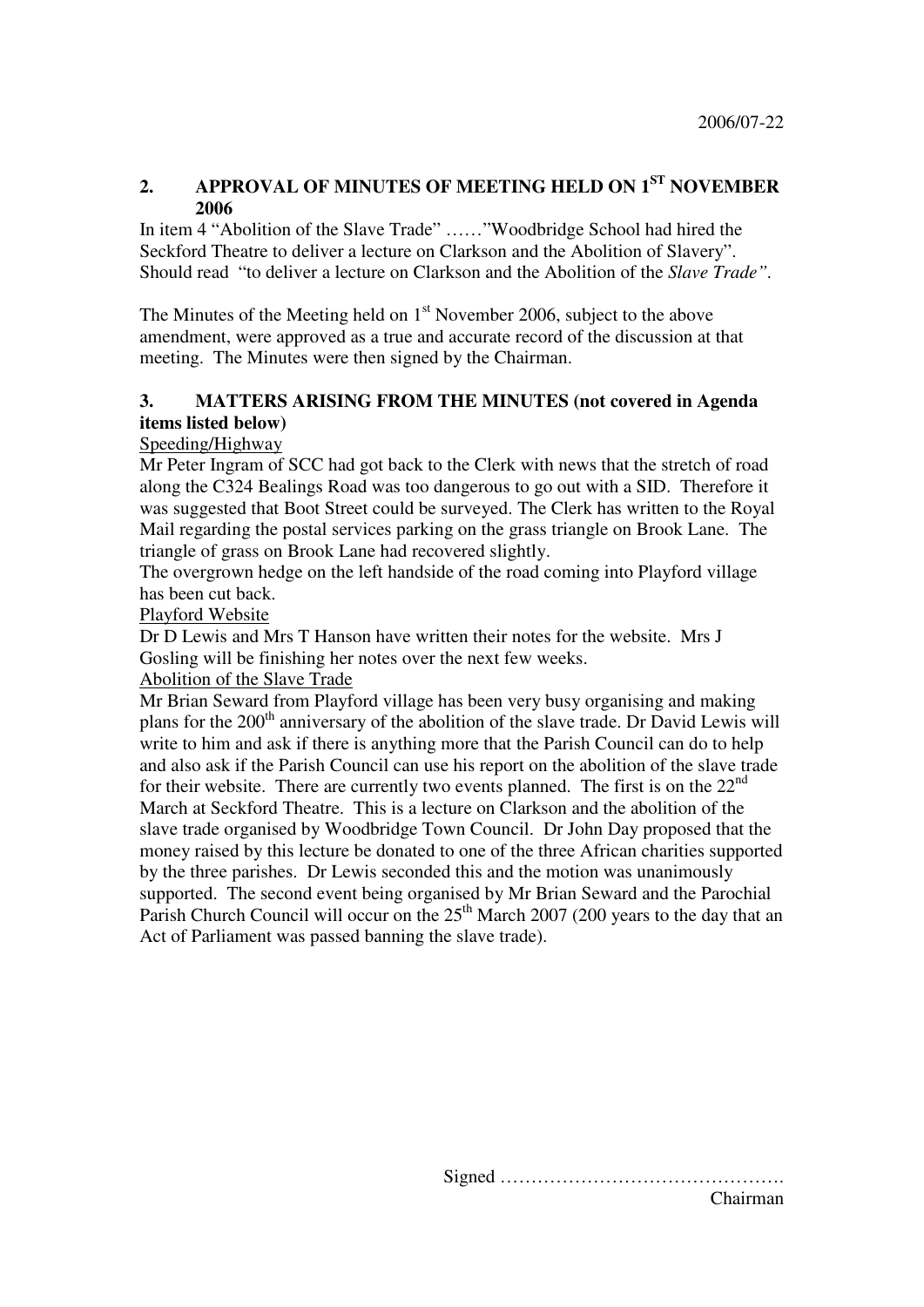# **2. APPROVAL OF MINUTES OF MEETING HELD ON 1ST NOVEMBER 2006**

In item 4 "Abolition of the Slave Trade" ……"Woodbridge School had hired the Seckford Theatre to deliver a lecture on Clarkson and the Abolition of Slavery". Should read "to deliver a lecture on Clarkson and the Abolition of the *Slave Trade".* 

The Minutes of the Meeting held on  $1<sup>st</sup>$  November 2006, subject to the above amendment, were approved as a true and accurate record of the discussion at that meeting. The Minutes were then signed by the Chairman.

# **3. MATTERS ARISING FROM THE MINUTES (not covered in Agenda items listed below)**

# Speeding/Highway

Mr Peter Ingram of SCC had got back to the Clerk with news that the stretch of road along the C324 Bealings Road was too dangerous to go out with a SID. Therefore it was suggested that Boot Street could be surveyed. The Clerk has written to the Royal Mail regarding the postal services parking on the grass triangle on Brook Lane. The triangle of grass on Brook Lane had recovered slightly.

The overgrown hedge on the left handside of the road coming into Playford village has been cut back.

# Playford Website

Dr D Lewis and Mrs T Hanson have written their notes for the website. Mrs J Gosling will be finishing her notes over the next few weeks.

# Abolition of the Slave Trade

Mr Brian Seward from Playford village has been very busy organising and making plans for the 200<sup>th</sup> anniversary of the abolition of the slave trade. Dr David Lewis will write to him and ask if there is anything more that the Parish Council can do to help and also ask if the Parish Council can use his report on the abolition of the slave trade for their website. There are currently two events planned. The first is on the  $22<sup>nd</sup>$ March at Seckford Theatre. This is a lecture on Clarkson and the abolition of the slave trade organised by Woodbridge Town Council. Dr John Day proposed that the money raised by this lecture be donated to one of the three African charities supported by the three parishes. Dr Lewis seconded this and the motion was unanimously supported. The second event being organised by Mr Brian Seward and the Parochial Parish Church Council will occur on the  $25<sup>th</sup>$  March 2007 (200 years to the day that an Act of Parliament was passed banning the slave trade).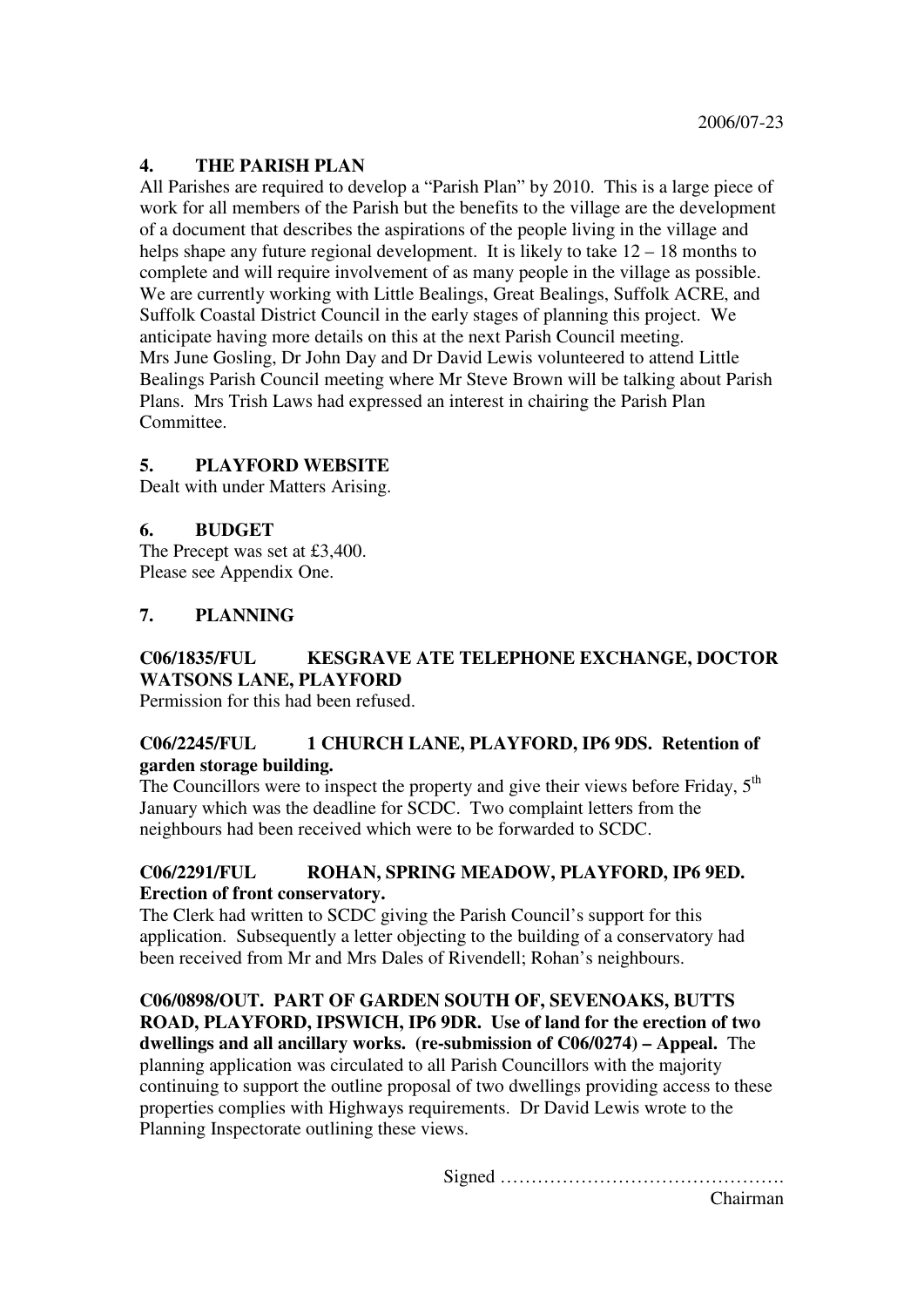# **4. THE PARISH PLAN**

All Parishes are required to develop a "Parish Plan" by 2010. This is a large piece of work for all members of the Parish but the benefits to the village are the development of a document that describes the aspirations of the people living in the village and helps shape any future regional development. It is likely to take  $12 - 18$  months to complete and will require involvement of as many people in the village as possible. We are currently working with Little Bealings, Great Bealings, Suffolk ACRE, and Suffolk Coastal District Council in the early stages of planning this project. We anticipate having more details on this at the next Parish Council meeting. Mrs June Gosling, Dr John Day and Dr David Lewis volunteered to attend Little Bealings Parish Council meeting where Mr Steve Brown will be talking about Parish Plans. Mrs Trish Laws had expressed an interest in chairing the Parish Plan Committee.

## **5. PLAYFORD WEBSITE**

Dealt with under Matters Arising.

## **6. BUDGET**

The Precept was set at £3,400. Please see Appendix One.

#### **7. PLANNING**

# **C06/1835/FUL KESGRAVE ATE TELEPHONE EXCHANGE, DOCTOR WATSONS LANE, PLAYFORD**

Permission for this had been refused.

## **C06/2245/FUL 1 CHURCH LANE, PLAYFORD, IP6 9DS. Retention of garden storage building.**

The Councillors were to inspect the property and give their views before Friday,  $5<sup>th</sup>$ January which was the deadline for SCDC. Two complaint letters from the neighbours had been received which were to be forwarded to SCDC.

## **C06/2291/FUL ROHAN, SPRING MEADOW, PLAYFORD, IP6 9ED. Erection of front conservatory.**

The Clerk had written to SCDC giving the Parish Council's support for this application. Subsequently a letter objecting to the building of a conservatory had been received from Mr and Mrs Dales of Rivendell; Rohan's neighbours.

**C06/0898/OUT. PART OF GARDEN SOUTH OF, SEVENOAKS, BUTTS ROAD, PLAYFORD, IPSWICH, IP6 9DR. Use of land for the erection of two dwellings and all ancillary works. (re-submission of C06/0274) – Appeal.** The planning application was circulated to all Parish Councillors with the majority continuing to support the outline proposal of two dwellings providing access to these properties complies with Highways requirements. Dr David Lewis wrote to the Planning Inspectorate outlining these views.

Signed ……………………………………….